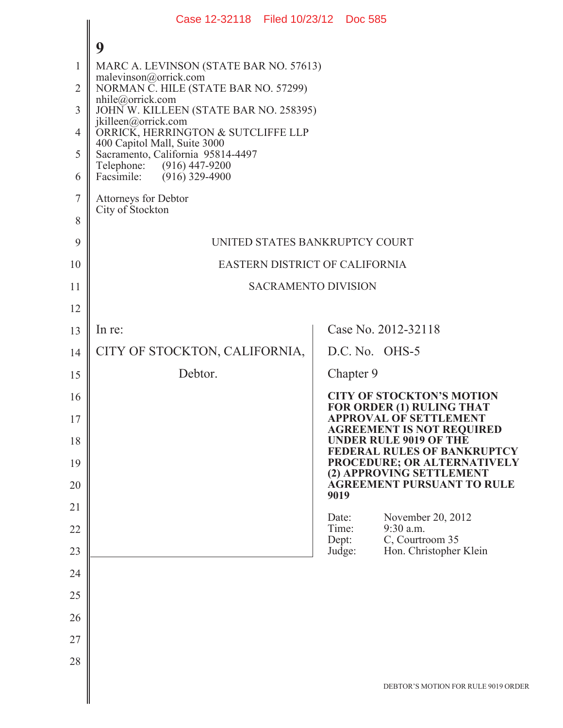|                | Case 12-32118 Filed 10/23/12 Doc 585                              |                                                                     |  |  |
|----------------|-------------------------------------------------------------------|---------------------------------------------------------------------|--|--|
|                | 9                                                                 |                                                                     |  |  |
| 1              | MARC A. LEVINSON (STATE BAR NO. 57613)                            |                                                                     |  |  |
| $\overline{2}$ | malevinson@orrick.com<br>NORMAN C. HILE (STATE BAR NO. 57299)     |                                                                     |  |  |
| 3              | $n$ hile@orrick.com<br>JOHN W. KILLEEN (STATE BAR NO. 258395)     |                                                                     |  |  |
| 4              | jkilleen@orrick.com<br>ORRICK, HERRINGTON & SUTCLIFFE LLP         |                                                                     |  |  |
| 5              | 400 Capitol Mall, Suite 3000<br>Sacramento, California 95814-4497 |                                                                     |  |  |
| 6              | Telephone:<br>$(916)$ 447-9200<br>$(916)$ 329-4900<br>Facsimile:  |                                                                     |  |  |
| $\tau$         | Attorneys for Debtor                                              |                                                                     |  |  |
| 8              | City of Stockton                                                  |                                                                     |  |  |
| 9              | UNITED STATES BANKRUPTCY COURT                                    |                                                                     |  |  |
| 10             | <b>EASTERN DISTRICT OF CALIFORNIA</b>                             |                                                                     |  |  |
| 11             | <b>SACRAMENTO DIVISION</b>                                        |                                                                     |  |  |
| 12             |                                                                   |                                                                     |  |  |
| 13             | In re:                                                            | Case No. 2012-32118                                                 |  |  |
| 14             | CITY OF STOCKTON, CALIFORNIA,                                     | D.C. No. OHS-5                                                      |  |  |
| 15             | Debtor.                                                           | Chapter 9                                                           |  |  |
| 16             |                                                                   | <b>CITY OF STOCKTON'S MOTION</b><br>FOR ORDER (1) RULING THAT       |  |  |
| 17             |                                                                   | <b>APPROVAL OF SETTLEMENT</b><br><b>AGREEMENT IS NOT REQUIRED</b>   |  |  |
| 18             |                                                                   | <b>UNDER RULE 9019 OF THE</b><br><b>FEDERAL RULES OF BANKRUPTCY</b> |  |  |
| 19             |                                                                   | PROCEDURE; OR ALTERNATIVELY<br>(2) APPROVING SETTLEMENT             |  |  |
| 20             |                                                                   | <b>AGREEMENT PURSUANT TO RULE</b><br>9019                           |  |  |
| 21             |                                                                   | November 20, 2012<br>Date:                                          |  |  |
| 22             |                                                                   | 9:30 a.m.<br>Time:<br>C, Courtroom 35<br>Dept:                      |  |  |
| 23             |                                                                   | Hon. Christopher Klein<br>Judge:                                    |  |  |
| 24             |                                                                   |                                                                     |  |  |
| 25             |                                                                   |                                                                     |  |  |
| 26             |                                                                   |                                                                     |  |  |
| 27             |                                                                   |                                                                     |  |  |
| 28             |                                                                   |                                                                     |  |  |
|                |                                                                   | DEBTOR'S MOTION FOR RULE 9019 ORDER                                 |  |  |
|                |                                                                   |                                                                     |  |  |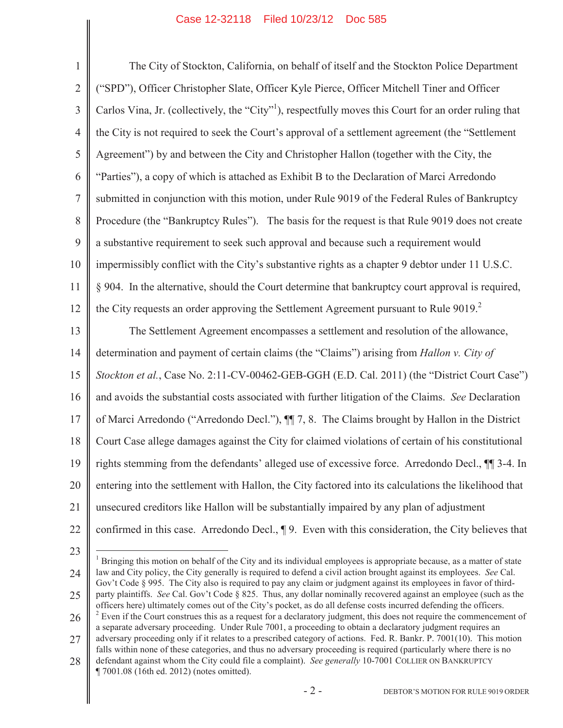1 2 3 4 5 6 7 8 9 10 11 12 13 14 15 16 17 18 19 20 21 22 The City of Stockton, California, on behalf of itself and the Stockton Police Department ("SPD"), Officer Christopher Slate, Officer Kyle Pierce, Officer Mitchell Tiner and Officer Carlos Vina, Jr. (collectively, the "City"<sup>1</sup>), respectfully moves this Court for an order ruling that the City is not required to seek the Court's approval of a settlement agreement (the "Settlement Agreement") by and between the City and Christopher Hallon (together with the City, the "Parties"), a copy of which is attached as Exhibit B to the Declaration of Marci Arredondo submitted in conjunction with this motion, under Rule 9019 of the Federal Rules of Bankruptcy Procedure (the "Bankruptcy Rules"). The basis for the request is that Rule 9019 does not create a substantive requirement to seek such approval and because such a requirement would impermissibly conflict with the City's substantive rights as a chapter 9 debtor under 11 U.S.C. § 904. In the alternative, should the Court determine that bankruptcy court approval is required, the City requests an order approving the Settlement Agreement pursuant to Rule  $9019<sup>2</sup>$ . The Settlement Agreement encompasses a settlement and resolution of the allowance, determination and payment of certain claims (the "Claims") arising from *Hallon v. City of Stockton et al.*, Case No. 2:11-CV-00462-GEB-GGH (E.D. Cal. 2011) (the "District Court Case") and avoids the substantial costs associated with further litigation of the Claims. *See* Declaration of Marci Arredondo ("Arredondo Decl."), ¶¶ 7, 8. The Claims brought by Hallon in the District Court Case allege damages against the City for claimed violations of certain of his constitutional rights stemming from the defendants' alleged use of excessive force. Arredondo Decl., ¶¶ 3-4. In entering into the settlement with Hallon, the City factored into its calculations the likelihood that unsecured creditors like Hallon will be substantially impaired by any plan of adjustment confirmed in this case. Arredondo Decl., ¶ 9. Even with this consideration, the City believes that  $\overline{a}$ 

<sup>23</sup>

<sup>24</sup>  $<sup>1</sup>$  Bringing this motion on behalf of the City and its individual employees is appropriate because, as a matter of state</sup> law and City policy, the City generally is required to defend a civil action brought against its employees. *See* Cal. Gov't Code § 995. The City also is required to pay any claim or judgment against its employees in favor of third-

<sup>25</sup> party plaintiffs. *See* Cal. Gov't Code § 825. Thus, any dollar nominally recovered against an employee (such as the officers here) ultimately comes out of the City's pocket, as do all defense costs incurred defending the officers.

<sup>26</sup>  $2$  Even if the Court construes this as a request for a declaratory judgment, this does not require the commencement of a separate adversary proceeding. Under Rule 7001, a proceeding to obtain a declaratory judgment requires an adversary proceeding only if it relates to a prescribed category of actions. Fed. R. Bankr. P. 7001(10). This motion

<sup>27</sup> falls within none of these categories, and thus no adversary proceeding is required (particularly where there is no

<sup>28</sup> defendant against whom the City could file a complaint). *See generally* 10-7001 COLLIER ON BANKRUPTCY ¶ 7001.08 (16th ed. 2012) (notes omitted).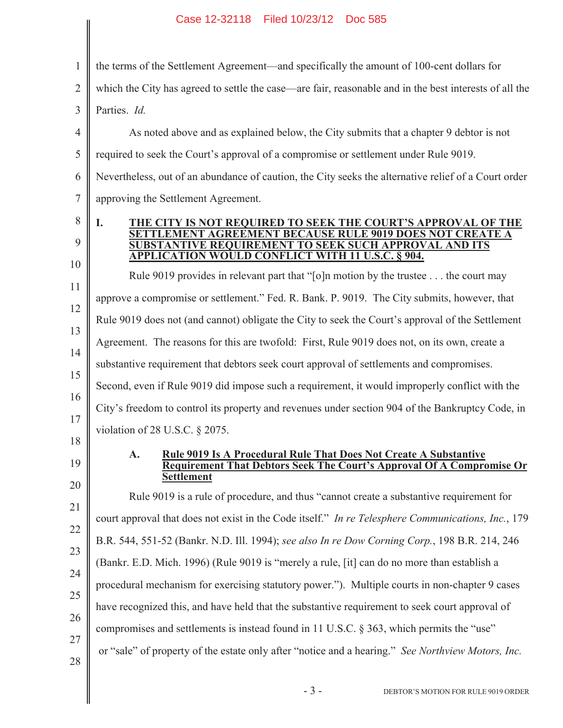| 1              | the terms of the Settlement Agreement—and specifically the amount of 100-cent dollars for                            |
|----------------|----------------------------------------------------------------------------------------------------------------------|
| $\overline{2}$ | which the City has agreed to settle the case—are fair, reasonable and in the best interests of all the               |
| 3              | Parties. Id.                                                                                                         |
| $\overline{4}$ | As noted above and as explained below, the City submits that a chapter 9 debtor is not                               |
| 5              | required to seek the Court's approval of a compromise or settlement under Rule 9019.                                 |
| 6              | Nevertheless, out of an abundance of caution, the City seeks the alternative relief of a Court order                 |
| $\tau$         | approving the Settlement Agreement.                                                                                  |
| 8              | THE CITY IS NOT REQUIRED TO SEEK THE COURT'S APPROVAL OF THE<br>I.                                                   |
| 9              | <b>AGREEMENT BECAUSE RULE 9019 DOES NOT CREATE A</b><br><b>SUBSTANTIVE REQUIREMENT TO SEEK SUCH APPROVAL AND ITS</b> |
| 10             | <b>APPLICATION WOULD CONFLICT WITH 11 U.S.C. § 904.</b>                                                              |
| 11             | Rule 9019 provides in relevant part that "[o]n motion by the trustee the court may                                   |
| 12             | approve a compromise or settlement." Fed. R. Bank. P. 9019. The City submits, however, that                          |
| 13             | Rule 9019 does not (and cannot) obligate the City to seek the Court's approval of the Settlement                     |
| 14             | Agreement. The reasons for this are twofold: First, Rule 9019 does not, on its own, create a                         |
| 15             | substantive requirement that debtors seek court approval of settlements and compromises.                             |
| 16             | Second, even if Rule 9019 did impose such a requirement, it would improperly conflict with the                       |
| 17             | City's freedom to control its property and revenues under section 904 of the Bankruptcy Code, in                     |
| 18             | violation of 28 U.S.C. $\S$ 2075.                                                                                    |
| 19             | <b>Rule 9019 Is A Procedural Rule That Does Not Create A Substantive</b><br>A.                                       |
| 20             | <b>Requirement That Debtors Seek The Court's Approval Of A Compromise Or</b><br><b>Settlement</b>                    |
| 21             | Rule 9019 is a rule of procedure, and thus "cannot create a substantive requirement for                              |
| 22             | court approval that does not exist in the Code itself." In re Telesphere Communications, Inc., 179                   |
| 23             | B.R. 544, 551-52 (Bankr. N.D. Ill. 1994); see also In re Dow Corning Corp., 198 B.R. 214, 246                        |
| 24             | (Bankr. E.D. Mich. 1996) (Rule 9019 is "merely a rule, [it] can do no more than establish a                          |
| 25             | procedural mechanism for exercising statutory power."). Multiple courts in non-chapter 9 cases                       |
|                | have recognized this, and have held that the substantive requirement to seek court approval of                       |
| 26             | compromises and settlements is instead found in 11 U.S.C. § 363, which permits the "use"                             |
| 27             | or "sale" of property of the estate only after "notice and a hearing." See Northview Motors, Inc.                    |
| 28             |                                                                                                                      |
|                | $-3-$<br>DEBTOR'S MOTION FOR RULE 9019 ORDER                                                                         |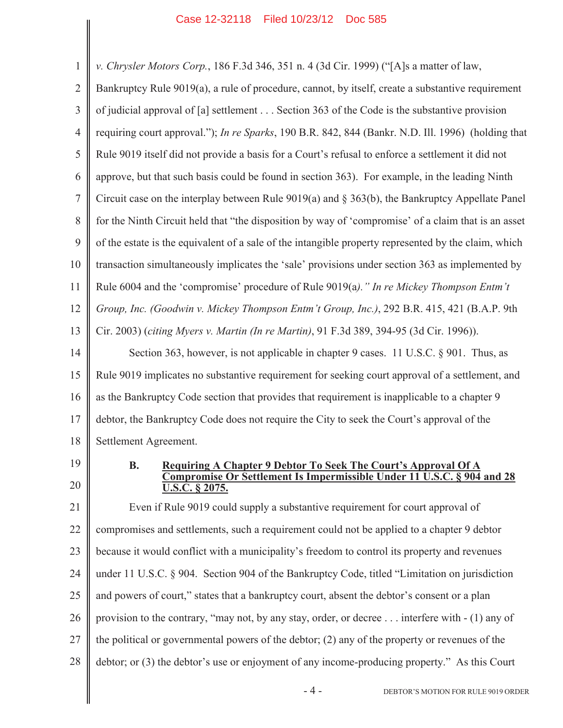1 2 3 4 5 6 7 8 9 10 11 12 13 14 15 16 17 18 *v. Chrysler Motors Corp.*, 186 F.3d 346, 351 n. 4 (3d Cir. 1999) ("[A]s a matter of law, Bankruptcy Rule 9019(a), a rule of procedure, cannot, by itself, create a substantive requirement of judicial approval of [a] settlement . . . Section 363 of the Code is the substantive provision requiring court approval."); *In re Sparks*, 190 B.R. 842, 844 (Bankr. N.D. Ill. 1996) (holding that Rule 9019 itself did not provide a basis for a Court's refusal to enforce a settlement it did not approve, but that such basis could be found in section 363). For example, in the leading Ninth Circuit case on the interplay between Rule 9019(a) and § 363(b), the Bankruptcy Appellate Panel for the Ninth Circuit held that "the disposition by way of 'compromise' of a claim that is an asset of the estate is the equivalent of a sale of the intangible property represented by the claim, which transaction simultaneously implicates the 'sale' provisions under section 363 as implemented by Rule 6004 and the 'compromise' procedure of Rule 9019(a*)." In re Mickey Thompson Entm't Group, Inc. (Goodwin v. Mickey Thompson Entm't Group, Inc.)*, 292 B.R. 415, 421 (B.A.P. 9th Cir. 2003) (*citing Myers v. Martin (In re Martin)*, 91 F.3d 389, 394-95 (3d Cir. 1996)). Section 363, however, is not applicable in chapter 9 cases. 11 U.S.C. § 901. Thus, as Rule 9019 implicates no substantive requirement for seeking court approval of a settlement, and as the Bankruptcy Code section that provides that requirement is inapplicable to a chapter 9 debtor, the Bankruptcy Code does not require the City to seek the Court's approval of the Settlement Agreement.

19 20

### **B. Requiring A Chapter 9 Debtor To Seek The Court's Approval Of A Compromise Or Settlement Is Impermissible Under 11 U.S.C. § 904 and 28 U.S.C. § 2075.**

21 22 23 24 25 26 27 28 Even if Rule 9019 could supply a substantive requirement for court approval of compromises and settlements, such a requirement could not be applied to a chapter 9 debtor because it would conflict with a municipality's freedom to control its property and revenues under 11 U.S.C. § 904. Section 904 of the Bankruptcy Code, titled "Limitation on jurisdiction and powers of court," states that a bankruptcy court, absent the debtor's consent or a plan provision to the contrary, "may not, by any stay, order, or decree . . . interfere with - (1) any of the political or governmental powers of the debtor; (2) any of the property or revenues of the debtor; or (3) the debtor's use or enjoyment of any income-producing property." As this Court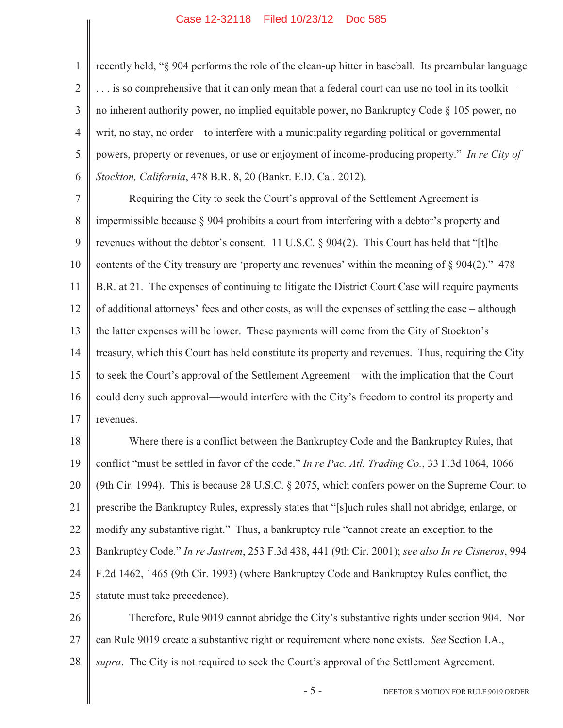1

2

3

4

5

6

recently held, "§ 904 performs the role of the clean-up hitter in baseball. Its preambular language . . . is so comprehensive that it can only mean that a federal court can use no tool in its toolkit no inherent authority power, no implied equitable power, no Bankruptcy Code § 105 power, no writ, no stay, no order—to interfere with a municipality regarding political or governmental powers, property or revenues, or use or enjoyment of income-producing property." *In re City of Stockton, California*, 478 B.R. 8, 20 (Bankr. E.D. Cal. 2012).

7 8 9 10 11 12 13 14 15 16 17 Requiring the City to seek the Court's approval of the Settlement Agreement is impermissible because § 904 prohibits a court from interfering with a debtor's property and revenues without the debtor's consent. 11 U.S.C. § 904(2). This Court has held that "[t]he contents of the City treasury are 'property and revenues' within the meaning of § 904(2)." 478 B.R. at 21. The expenses of continuing to litigate the District Court Case will require payments of additional attorneys' fees and other costs, as will the expenses of settling the case – although the latter expenses will be lower. These payments will come from the City of Stockton's treasury, which this Court has held constitute its property and revenues. Thus, requiring the City to seek the Court's approval of the Settlement Agreement—with the implication that the Court could deny such approval—would interfere with the City's freedom to control its property and revenues.

18 19 20 21 22 23 24 25 Where there is a conflict between the Bankruptcy Code and the Bankruptcy Rules, that conflict "must be settled in favor of the code." *In re Pac. Atl. Trading Co.*, 33 F.3d 1064, 1066 (9th Cir. 1994). This is because 28 U.S.C. § 2075, which confers power on the Supreme Court to prescribe the Bankruptcy Rules, expressly states that "[s]uch rules shall not abridge, enlarge, or modify any substantive right." Thus, a bankruptcy rule "cannot create an exception to the Bankruptcy Code." *In re Jastrem*, 253 F.3d 438, 441 (9th Cir. 2001); *see also In re Cisneros*, 994 F.2d 1462, 1465 (9th Cir. 1993) (where Bankruptcy Code and Bankruptcy Rules conflict, the statute must take precedence).

26 27 28 Therefore, Rule 9019 cannot abridge the City's substantive rights under section 904. Nor can Rule 9019 create a substantive right or requirement where none exists. *See* Section I.A., *supra*. The City is not required to seek the Court's approval of the Settlement Agreement.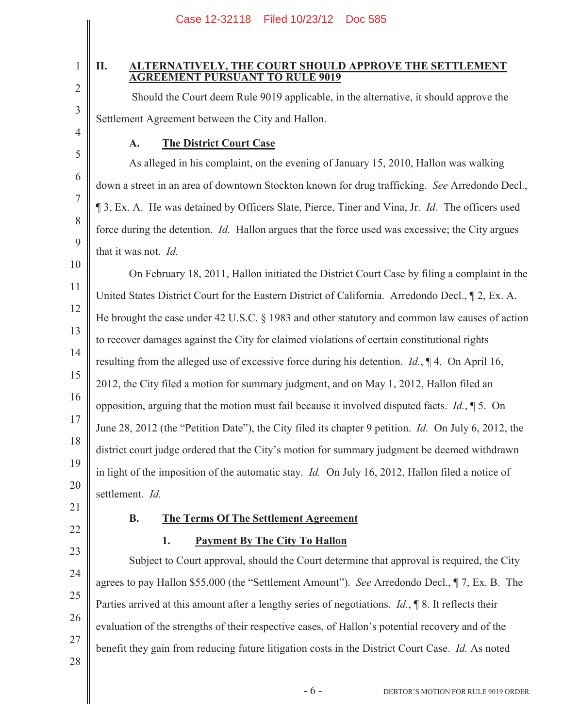|                                                                                                                                                                                                                        | Case 12-32118<br>Filed 10/23/12 Doc 585                                                                                                                                                         |  |  |   |
|------------------------------------------------------------------------------------------------------------------------------------------------------------------------------------------------------------------------|-------------------------------------------------------------------------------------------------------------------------------------------------------------------------------------------------|--|--|---|
|                                                                                                                                                                                                                        |                                                                                                                                                                                                 |  |  |   |
| 1                                                                                                                                                                                                                      | <b>ALTERNATIVELY, THE COURT SHOULD APPROVE THE SETTLEMENT</b><br>П.<br><b>AGREEMENT PURSUANT TO RULE 9019</b>                                                                                   |  |  |   |
| $\overline{2}$                                                                                                                                                                                                         | Should the Court deem Rule 9019 applicable, in the alternative, it should approve the                                                                                                           |  |  |   |
| $\mathfrak{Z}$                                                                                                                                                                                                         | Settlement Agreement between the City and Hallon.                                                                                                                                               |  |  |   |
| $\overline{4}$                                                                                                                                                                                                         | <b>The District Court Case</b><br>A.                                                                                                                                                            |  |  |   |
| 5                                                                                                                                                                                                                      | As alleged in his complaint, on the evening of January 15, 2010, Hallon was walking                                                                                                             |  |  |   |
| 6                                                                                                                                                                                                                      | down a street in an area of downtown Stockton known for drug trafficking. See Arredondo Decl.,                                                                                                  |  |  |   |
| $\sqrt{ }$<br>13, Ex. A. He was detained by Officers Slate, Pierce, Tiner and Vina, Jr. Id. The officers used<br>8<br>force during the detention. Id. Hallon argues that the force used was excessive; the City argues |                                                                                                                                                                                                 |  |  |   |
|                                                                                                                                                                                                                        |                                                                                                                                                                                                 |  |  | 9 |
| 10                                                                                                                                                                                                                     | On February 18, 2011, Hallon initiated the District Court Case by filing a complaint in the                                                                                                     |  |  |   |
| 11                                                                                                                                                                                                                     | United States District Court for the Eastern District of California. Arredondo Decl., 12, Ex. A.                                                                                                |  |  |   |
| 12                                                                                                                                                                                                                     | He brought the case under 42 U.S.C. § 1983 and other statutory and common law causes of action                                                                                                  |  |  |   |
| 13                                                                                                                                                                                                                     | to recover damages against the City for claimed violations of certain constitutional rights                                                                                                     |  |  |   |
| 14                                                                                                                                                                                                                     | resulting from the alleged use of excessive force during his detention. $Id.$ , $\P$ 4. On April 16,                                                                                            |  |  |   |
| 15                                                                                                                                                                                                                     | 2012, the City filed a motion for summary judgment, and on May 1, 2012, Hallon filed an<br>opposition, arguing that the motion must fail because it involved disputed facts. $Id.$ , $\P$ 5. On |  |  |   |
| 16                                                                                                                                                                                                                     |                                                                                                                                                                                                 |  |  |   |
| 17                                                                                                                                                                                                                     | June 28, 2012 (the "Petition Date"), the City filed its chapter 9 petition. Id. On July 6, 2012, the                                                                                            |  |  |   |
| 18                                                                                                                                                                                                                     | district court judge ordered that the City's motion for summary judgment be deemed withdrawn                                                                                                    |  |  |   |
| 19                                                                                                                                                                                                                     | in light of the imposition of the automatic stay. <i>Id.</i> On July 16, 2012, Hallon filed a notice of                                                                                         |  |  |   |
| 20                                                                                                                                                                                                                     | settlement. Id.                                                                                                                                                                                 |  |  |   |
| 21                                                                                                                                                                                                                     | <b>B.</b><br><b>The Terms Of The Settlement Agreement</b>                                                                                                                                       |  |  |   |
| 22                                                                                                                                                                                                                     | <b>Payment By The City To Hallon</b><br>1.                                                                                                                                                      |  |  |   |
| 23                                                                                                                                                                                                                     | Subject to Court approval, should the Court determine that approval is required, the City                                                                                                       |  |  |   |
| 24                                                                                                                                                                                                                     | agrees to pay Hallon \$55,000 (the "Settlement Amount"). See Arredondo Decl., ¶ 7, Ex. B. The                                                                                                   |  |  |   |
| $25\,$                                                                                                                                                                                                                 | Parties arrived at this amount after a lengthy series of negotiations. $Id.$ , $\P$ 8. It reflects their                                                                                        |  |  |   |
| 26                                                                                                                                                                                                                     | evaluation of the strengths of their respective cases, of Hallon's potential recovery and of the                                                                                                |  |  |   |
| 27                                                                                                                                                                                                                     | benefit they gain from reducing future litigation costs in the District Court Case. Id. As noted                                                                                                |  |  |   |
| 28                                                                                                                                                                                                                     |                                                                                                                                                                                                 |  |  |   |
|                                                                                                                                                                                                                        | $-6-$<br>DEBTOR'S MOTION FOR RULE 9019 ORDER                                                                                                                                                    |  |  |   |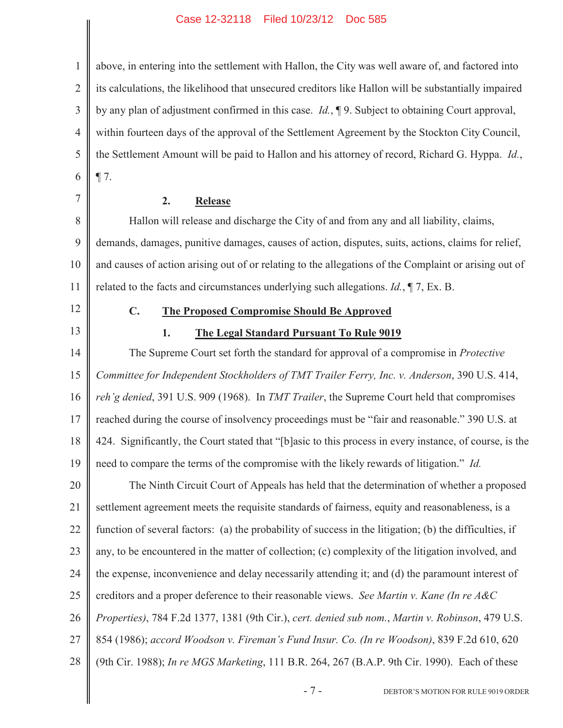I

| $\mathbf{1}$   | above, in entering into the settlement with Hallon, the City was well aware of, and factored into       |  |
|----------------|---------------------------------------------------------------------------------------------------------|--|
| $\overline{2}$ | its calculations, the likelihood that unsecured creditors like Hallon will be substantially impaired    |  |
| $\mathfrak{Z}$ | by any plan of adjustment confirmed in this case. $Id.$ , $\P$ 9. Subject to obtaining Court approval,  |  |
| $\overline{4}$ | within fourteen days of the approval of the Settlement Agreement by the Stockton City Council,          |  |
| 5              | the Settlement Amount will be paid to Hallon and his attorney of record, Richard G. Hyppa. Id.,         |  |
| 6              | $\P$ 7.                                                                                                 |  |
| 7              | 2.<br><b>Release</b>                                                                                    |  |
| 8              | Hallon will release and discharge the City of and from any and all liability, claims,                   |  |
| $\mathbf{9}$   | demands, damages, punitive damages, causes of action, disputes, suits, actions, claims for relief,      |  |
| 10             | and causes of action arising out of or relating to the allegations of the Complaint or arising out of   |  |
| 11             | related to the facts and circumstances underlying such allegations. $Id.$ , $\P$ 7, Ex. B.              |  |
| 12             | $C_{\bullet}$<br><b>The Proposed Compromise Should Be Approved</b>                                      |  |
| 13             | 1.<br><b>The Legal Standard Pursuant To Rule 9019</b>                                                   |  |
| 14             | The Supreme Court set forth the standard for approval of a compromise in Protective                     |  |
| 15             | Committee for Independent Stockholders of TMT Trailer Ferry, Inc. v. Anderson, 390 U.S. 414,            |  |
| 16             | reh'g denied, 391 U.S. 909 (1968). In TMT Trailer, the Supreme Court held that compromises              |  |
| 17             | reached during the course of insolvency proceedings must be "fair and reasonable." 390 U.S. at          |  |
| 18             | 424. Significantly, the Court stated that "[b]asic to this process in every instance, of course, is the |  |
| 19             | need to compare the terms of the compromise with the likely rewards of litigation." Id.                 |  |
| 20             | The Ninth Circuit Court of Appeals has held that the determination of whether a proposed                |  |
| 21             | settlement agreement meets the requisite standards of fairness, equity and reasonableness, is a         |  |
| 22             | function of several factors: (a) the probability of success in the litigation; (b) the difficulties, if |  |
| 23             | any, to be encountered in the matter of collection; (c) complexity of the litigation involved, and      |  |
| 24             | the expense, inconvenience and delay necessarily attending it; and (d) the paramount interest of        |  |
| 25             | creditors and a proper deference to their reasonable views. See Martin v. Kane (In re A&C               |  |
| 26             | Properties), 784 F.2d 1377, 1381 (9th Cir.), cert. denied sub nom., Martin v. Robinson, 479 U.S.        |  |
| 27             | 854 (1986); accord Woodson v. Fireman's Fund Insur. Co. (In re Woodson), 839 F.2d 610, 620              |  |
| 28             | (9th Cir. 1988); In re MGS Marketing, 111 B.R. 264, 267 (B.A.P. 9th Cir. 1990). Each of these           |  |
|                | $-7-$<br>DEBTOR'S MOTION FOR RULE 9019 ORDER                                                            |  |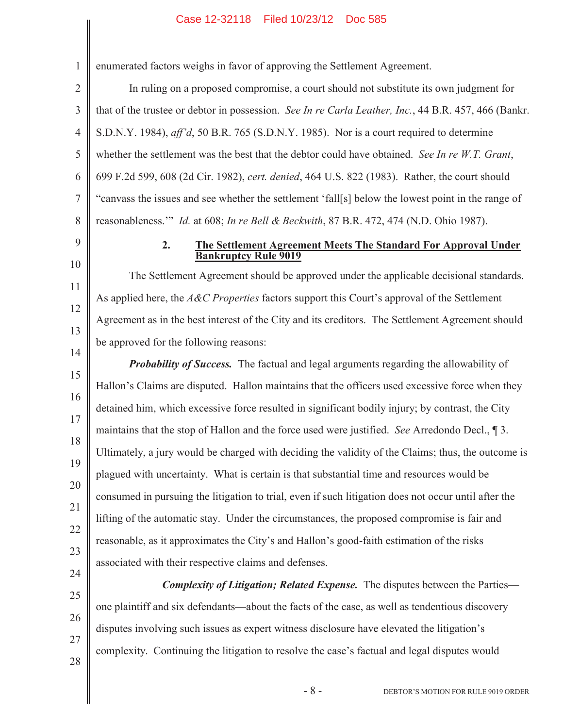1 2 enumerated factors weighs in favor of approving the Settlement Agreement.

3 4 5 6 7 8 In ruling on a proposed compromise, a court should not substitute its own judgment for that of the trustee or debtor in possession. *See In re Carla Leather, Inc.*, 44 B.R. 457, 466 (Bankr. S.D.N.Y. 1984), *aff'd*, 50 B.R. 765 (S.D.N.Y. 1985). Nor is a court required to determine whether the settlement was the best that the debtor could have obtained. *See In re W.T. Grant*, 699 F.2d 599, 608 (2d Cir. 1982), *cert. denied*, 464 U.S. 822 (1983). Rather, the court should "canvass the issues and see whether the settlement 'fall[s] below the lowest point in the range of reasonableness.'" *Id.* at 608; *In re Bell & Beckwith*, 87 B.R. 472, 474 (N.D. Ohio 1987).

9

10

11

12

13

### **2. The Settlement Agreement Meets The Standard For Approval Under Bankruptcy Rule 9019**

The Settlement Agreement should be approved under the applicable decisional standards. As applied here, the *A&C Properties* factors support this Court's approval of the Settlement Agreement as in the best interest of the City and its creditors. The Settlement Agreement should be approved for the following reasons:

14 15

16 17 18 19 20 21 22 23 *Probability of Success.* The factual and legal arguments regarding the allowability of Hallon's Claims are disputed. Hallon maintains that the officers used excessive force when they detained him, which excessive force resulted in significant bodily injury; by contrast, the City maintains that the stop of Hallon and the force used were justified. *See* Arredondo Decl., ¶ 3. Ultimately, a jury would be charged with deciding the validity of the Claims; thus, the outcome is plagued with uncertainty. What is certain is that substantial time and resources would be consumed in pursuing the litigation to trial, even if such litigation does not occur until after the lifting of the automatic stay. Under the circumstances, the proposed compromise is fair and reasonable, as it approximates the City's and Hallon's good-faith estimation of the risks associated with their respective claims and defenses.

*Complexity of Litigation; Related Expense.* The disputes between the Parties one plaintiff and six defendants—about the facts of the case, as well as tendentious discovery disputes involving such issues as expert witness disclosure have elevated the litigation's complexity. Continuing the litigation to resolve the case's factual and legal disputes would

28

24

25

26

27